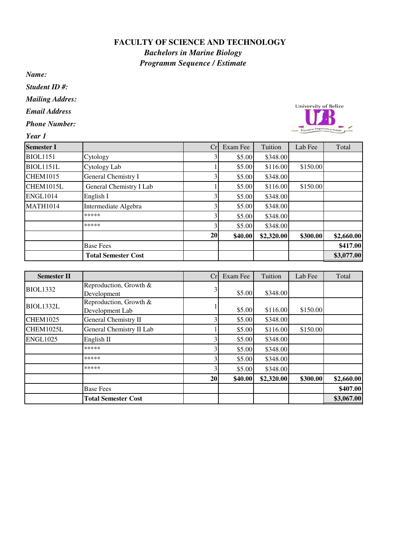## **FACULTY OF SCIENCE AND TECHNOLOGY**

*Bachelors in Marine Biology Programm Sequence / Estimate*

*Name:*

*Student ID #:*

*Mailing Addres:*

*Email Address*

- *Phone Number:*
- *Year 1*



| <b>Semester I</b> |                            | Cr | Exam Fee | Tuition    | Lab Fee  | Total      |
|-------------------|----------------------------|----|----------|------------|----------|------------|
| <b>BIOL1151</b>   | Cytology                   |    | \$5.00   | \$348.00   |          |            |
| <b>BIOL1151L</b>  | Cytology Lab               |    | \$5.00   | \$116.00   | \$150.00 |            |
| <b>CHEM1015</b>   | General Chemistry I        |    | \$5.00   | \$348.00   |          |            |
| CHEM1015L         | General Chemistry I Lab    |    | \$5.00   | \$116.00   | \$150.00 |            |
| <b>ENGL1014</b>   | English I                  |    | \$5.00   | \$348.00   |          |            |
| <b>MATH1014</b>   | Intermediate Algebra       |    | \$5.00   | \$348.00   |          |            |
|                   | *****                      | 3  | \$5.00   | \$348.00   |          |            |
|                   | *****                      | 3  | \$5.00   | \$348.00   |          |            |
|                   |                            | 20 | \$40.00  | \$2,320.00 | \$300.00 | \$2,660.00 |
|                   | <b>Base Fees</b>           |    |          |            |          | \$417.00   |
|                   | <b>Total Semester Cost</b> |    |          |            |          | \$3,077.00 |

| <b>Semester II</b> |                                           | Cr | Exam Fee | Tuition    | Lab Fee  | Total      |
|--------------------|-------------------------------------------|----|----------|------------|----------|------------|
| <b>BIOL1332</b>    | Reproduction, Growth &<br>Development     | 3  | \$5.00   | \$348.00   |          |            |
| BIOL1332L          | Reproduction, Growth &<br>Development Lab |    | \$5.00   | \$116.00   | \$150.00 |            |
| <b>CHEM1025</b>    | <b>General Chemistry II</b>               |    | \$5.00   | \$348.00   |          |            |
| CHEM1025L          | General Chemistry II Lab                  |    | \$5.00   | \$116.00   | \$150.00 |            |
| <b>ENGL1025</b>    | English II                                |    | \$5.00   | \$348.00   |          |            |
|                    | *****                                     |    | \$5.00   | \$348.00   |          |            |
|                    | *****                                     |    | \$5.00   | \$348.00   |          |            |
|                    | *****                                     | 3  | \$5.00   | \$348.00   |          |            |
|                    |                                           | 20 | \$40.00  | \$2,320.00 | \$300.00 | \$2,660.00 |
|                    | <b>Base Fees</b>                          |    |          |            |          | \$407.00   |
|                    | <b>Total Semester Cost</b>                |    |          |            |          | \$3,067.00 |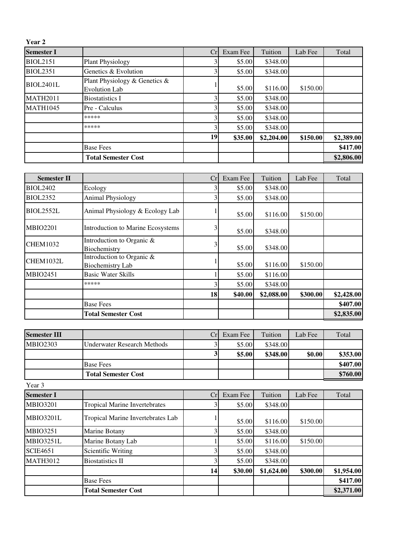| Year 2            |                                                       |    |          |            |          |            |
|-------------------|-------------------------------------------------------|----|----------|------------|----------|------------|
| <b>Semester I</b> |                                                       | Cr | Exam Fee | Tuition    | Lab Fee  | Total      |
| <b>BIOL2151</b>   | <b>Plant Physiology</b>                               |    | \$5.00   | \$348.00   |          |            |
| <b>BIOL2351</b>   | Genetics & Evolution                                  | 3  | \$5.00   | \$348.00   |          |            |
| <b>BIOL2401L</b>  | Plant Physiology & Genetics &<br><b>Evolution Lab</b> |    | \$5.00   | \$116.00   | \$150.00 |            |
| <b>MATH2011</b>   | <b>Biostatistics I</b>                                |    | \$5.00   | \$348.00   |          |            |
| <b>MATH1045</b>   | Pre - Calculus                                        |    | \$5.00   | \$348.00   |          |            |
|                   | *****                                                 | 3  | \$5.00   | \$348.00   |          |            |
|                   | *****                                                 |    | \$5.00   | \$348.00   |          |            |
|                   |                                                       | 19 | \$35.00  | \$2,204.00 | \$150.00 | \$2,389.00 |
|                   | <b>Base Fees</b>                                      |    |          |            |          | \$417.00   |
|                   | <b>Total Semester Cost</b>                            |    |          |            |          | \$2,806.00 |

| <b>Semester II</b> |                                                      | Cr | Exam Fee | Tuition    | Lab Fee  | Total      |
|--------------------|------------------------------------------------------|----|----------|------------|----------|------------|
| <b>BIOL2402</b>    | Ecology                                              |    | \$5.00   | \$348.00   |          |            |
| <b>BIOL2352</b>    | <b>Animal Physiology</b>                             |    | \$5.00   | \$348.00   |          |            |
| <b>BIOL2552L</b>   | Animal Physiology & Ecology Lab                      |    | \$5.00   | \$116.00   | \$150.00 |            |
| <b>MBIO2201</b>    | Introduction to Marine Ecosystems                    | 3  | \$5.00   | \$348.00   |          |            |
| <b>CHEM1032</b>    | Introduction to Organic &<br>Biochemistry            | 3  | \$5.00   | \$348.00   |          |            |
| CHEM1032L          | Introduction to Organic &<br><b>Biochemistry Lab</b> |    | \$5.00   | \$116.00   | \$150.00 |            |
| <b>MBIO2451</b>    | <b>Basic Water Skills</b>                            |    | \$5.00   | \$116.00   |          |            |
|                    | *****                                                |    | \$5.00   | \$348.00   |          |            |
|                    |                                                      | 18 | \$40.00  | \$2,088.00 | \$300.00 | \$2,428.00 |
|                    | <b>Base Fees</b>                                     |    |          |            |          | \$407.00   |
|                    | <b>Total Semester Cost</b>                           |    |          |            |          | \$2,835.00 |

| <b>Semester III</b> |                             | Crl | Exam Fee | Tuition  | Lab Fee | Total    |
|---------------------|-----------------------------|-----|----------|----------|---------|----------|
| <b>MBIO2303</b>     | Underwater Research Methods |     | \$5.00   | \$348.00 |         |          |
|                     |                             | J.  | \$5.00   | \$348.00 | \$0.00  | \$353.00 |
|                     | <b>Base Fees</b>            |     |          |          |         | \$407.00 |
|                     | <b>Total Semester Cost</b>  |     |          |          |         | \$760.00 |

Year 3

| <b>Semester I</b> |                                      | Cr | Exam Fee | Tuition    | Lab Fee  | Total      |
|-------------------|--------------------------------------|----|----------|------------|----------|------------|
| <b>MBIO3201</b>   | <b>Tropical Marine Invertebrates</b> |    | \$5.00   | \$348.00   |          |            |
| MBIO3201L         | Tropical Marine Invertebrates Lab    |    | \$5.00   | \$116.00   | \$150.00 |            |
| <b>MBIO3251</b>   | Marine Botany                        |    | \$5.00   | \$348.00   |          |            |
| MBIO3251L         | Marine Botany Lab                    |    | \$5.00   | \$116.00   | \$150.00 |            |
| <b>SCIE4651</b>   | <b>Scientific Writing</b>            |    | \$5.00   | \$348.00   |          |            |
| <b>MATH3012</b>   | <b>Biostatistics II</b>              |    | \$5.00   | \$348.00   |          |            |
|                   |                                      | 14 | \$30.00  | \$1,624.00 | \$300.00 | \$1,954.00 |
|                   | <b>Base Fees</b>                     |    |          |            |          | \$417.00   |
|                   | <b>Total Semester Cost</b>           |    |          |            |          | \$2,371.00 |